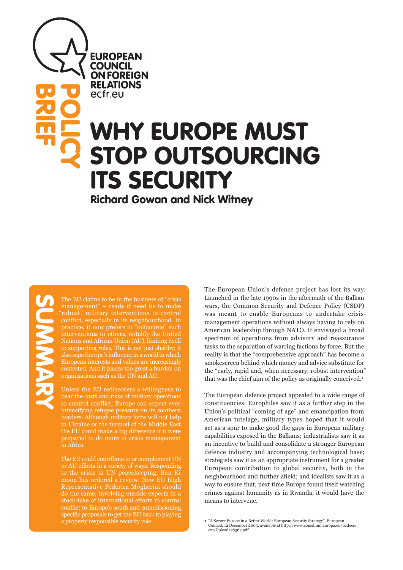**EUROPEAN COUNCIL ON FOREIGN RELATIONS** ecfreu

# WHY EUROPE MUST STOP OUTSOURCING ITS SECURITY **POLICY**

Richard Gowan and Nick Witney

**BRIEF**<br>BRIEF

The EU claims to be in the business of "crisis management" – ready if need be to make "robust" military interventions to control conflict, especially in its neighbourhood. In practice, it now prefers to "outsource" such interventions to others, notably the United Nations and African Union (AU), limiting itself to supporting roles. This is not just shabby; it also saps Europe's influence in a world in which European interests and values are increasingly contested. And it places too great a burden on organisations such as the UN and AU.

Unless the EU rediscovers a willingness to bear the costs and risks of military operations to control conflict, Europe can expect everintensifying refugee pressure on its southern borders. Although military force will not help in Ukraine or the turmoil of the Middle East, the EU could make a big difference if it were prepared to do more in crisis management in Africa.

The EU could contribute to or complement UN or AU efforts in a variety of ways. Responding to the crisis in UN peacekeeping, Ban Kimoon has ordered a review. New EU High Representative Federica Mogherini should do the same, involving outside experts in a stock-take of international efforts to control conflict to Europe's south and commissioning specific proposals to get the EU back to playing<br>a properly responsible security role. The European Union's defence project has lost its way. Launched in the late 1990s in the aftermath of the Balkan wars, the Common Security and Defence Policy (CSDP) was meant to enable Europeans to undertake crisismanagement operations without always having to rely on American leadership through NATO. It envisaged a broad spectrum of operations from advisory and reassurance tasks to the separation of warring factions by force. But the reality is that the "comprehensive approach" has become a smokescreen behind which money and advice substitute for the "early, rapid and, when necessary, robust intervention" that was the chief aim of the policy as originally conceived.<sup>1</sup>

The European defence project appealed to a wide range of constituencies: Europhiles saw it as a further step in the Union's political "coming of age" and emancipation from American tutelage; military types hoped that it would act as a spur to make good the gaps in European military capabilities exposed in the Balkans; industrialists saw it as an incentive to build and consolidate a stronger European defence industry and accompanying technological base; strategists saw it as an appropriate instrument for a greater European contribution to global security, both in the neighbourhood and further afield; and idealists saw it as a way to ensure that, next time Europe found itself watching crimes against humanity as in Rwanda, it would have the means to intervene.

<sup>1 &</sup>quot;A Secure Europe in a Better World: European Security Strategy", European Council, 12 December 2003, available at http://www.consilium.europa.eu/uedocs/ cmsUpload/78367.pdf.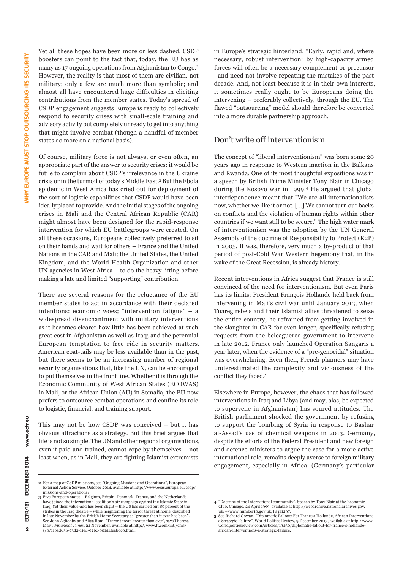Yet all these hopes have been more or less dashed. CSDP boosters can point to the fact that, today, the EU has as many as 17 ongoing operations from Afghanistan to Congo.2 However, the reality is that most of them are civilian, not military; only a few are much more than symbolic; and almost all have encountered huge difficulties in eliciting contributions from the member states. Today's spread of CSDP engagement suggests Europe is ready to collectively respond to security crises with small-scale training and advisory activity but completely unready to get into anything that might involve combat (though a handful of member states do more on a national basis).

Of course, military force is not always, or even often, an appropriate part of the answer to security crises: it would be futile to complain about CSDP's irrelevance in the Ukraine crisis or in the turmoil of today's Middle East.3 But the Ebola epidemic in West Africa has cried out for deployment of the sort of logistic capabilities that CSDP would have been ideally placed to provide. And the initial stages of the ongoing crises in Mali and the Central African Republic (CAR) might almost have been designed for the rapid-response intervention for which EU battlegroups were created. On all these occasions, Europeans collectively preferred to sit on their hands and wait for others – France and the United Nations in the CAR and Mali; the United States, the United Kingdom, and the World Health Organization and other UN agencies in West Africa – to do the heavy lifting before making a late and limited "supporting" contribution.

There are several reasons for the reluctance of the EU member states to act in accordance with their declared intentions: economic woes; "intervention fatigue" – a widespread disenchantment with military interventions as it becomes clearer how little has been achieved at such great cost in Afghanistan as well as Iraq; and the perennial European temptation to free ride in security matters. American coat-tails may be less available than in the past, but there seems to be an increasing number of regional security organisations that, like the UN, can be encouraged to put themselves in the front line. Whether it is through the Economic Community of West African States (ECOWAS) in Mali, or the African Union (AU) in Somalia, the EU now prefers to outsource combat operations and confine its role to logistic, financial, and training support.

This may not be how CSDP was conceived – but it has obvious attractions as a strategy. But this brief argues that life is not so simple. The UN and other regional organisations, even if paid and trained, cannot cope by themselves – not least when, as in Mali, they are fighting Islamist extremists

in Europe's strategic hinterland. "Early, rapid and, where necessary, robust intervention" by high-capacity armed forces will often be a necessary complement or precursor – and need not involve repeating the mistakes of the past decade. And, not least because it is in their own interests, it sometimes really ought to be Europeans doing the intervening – preferably collectively, through the EU. The flawed "outsourcing" model should therefore be converted into a more durable partnership approach.

## Don't write off interventionism

The concept of "liberal interventionism" was born some 20 years ago in response to Western inaction in the Balkans and Rwanda. One of its most thoughtful expositions was in a speech by British Prime Minister Tony Blair in Chicago during the Kosovo war in 1999.4 He argued that global interdependence meant that "We are all internationalists now, whether we like it or not. […] We cannot turn our backs on conflicts and the violation of human rights within other countries if we want still to be secure." The high water mark of interventionism was the adoption by the UN General Assembly of the doctrine of Responsibility to Protect (R2P) in 2005. It was, therefore, very much a by-product of that period of post-Cold War Western hegemony that, in the wake of the Great Recession, is already history.

Recent interventions in Africa suggest that France is still convinced of the need for interventionism. But even Paris has its limits: President François Hollande held back from intervening in Mali's civil war until January 2013, when Tuareg rebels and their Islamist allies threatened to seize the entire country; he refrained from getting involved in the slaughter in CAR for even longer, specifically refusing requests from the beleaguered government to intervene in late 2012. France only launched Operation Sangaris a year later, when the evidence of a "pre-genocidal" situation was overwhelming. Even then, French planners may have underestimated the complexity and viciousness of the conflict they faced.5

Elsewhere in Europe, however, the chaos that has followed interventions in Iraq and Libya (and may, alas, be expected to supervene in Afghanistan) has soured attitudes. The British parliament shocked the government by refusing to support the bombing of Syria in response to Bashar al-Assad's use of chemical weapons in 2013. Germany, despite the efforts of the Federal President and new foreign and defence ministers to argue the case for a more active international role, remains deeply averse to foreign military engagement, especially in Africa. (Germany's particular

**<sup>2</sup>** For a map of CSDP missions, see "Ongoing Missions and Operations", European External Action Service, October 2014, available at http://www.eeas.europa.eu/csdp/ missions-and-operations/.

**<sup>3</sup>** Five European states – Belgium, Britain, Denmark, France, and the Netherlands – have joined the international coalition's air campaign against the Islamic State in Iraq. Yet their value-add has been slight – the US has carried out 85 percent of the strikes in the Iraq theatre – while heightening the terror threat at home, described in late November by the British Home Secretary as "greater than it ever has been". See John Aglionby and Aliya Ram, "Terror threat 'greater than ever', says Theresa May", *Financial Times*, 24 November, available at http://www.ft.com/intl/cms/ s/0/11bad636-73d2-11e4-92bc-00144feabdc0.html.

**<sup>4</sup>** "Doctrine of the International community", Speech by Tony Blair at the Economic Club, Chicago, 24 April 1999, available at http://webarchive.nationalarchives.gov.<br>uk/+/www.number10.gov.uk/Page1297.<br>**5** See Richard Gowan, "Diplomatic Fallout: For France's Hollande, African Interventions

a Strategic Failure", World Politics Review, 9 December 2013, available at http://www. worldpoliticsreview.com/articles/13430/diplomatic-fallout-for-france-s-hollande-african-interventions-a-strategic-failure.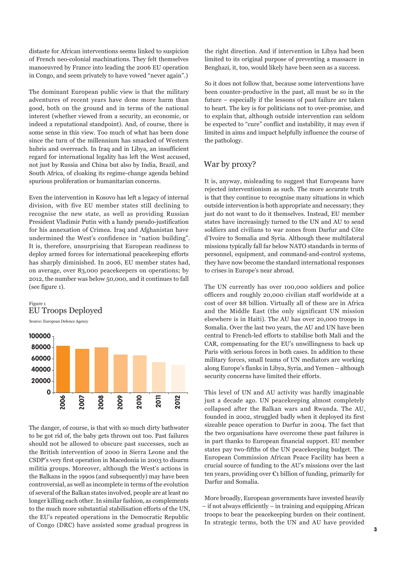distaste for African interventions seems linked to suspicion of French neo-colonial machinations. They felt themselves manoeuvred by France into leading the 2006 EU operation in Congo, and seem privately to have vowed "never again".)

The dominant European public view is that the military adventures of recent years have done more harm than good, both on the ground and in terms of the national interest (whether viewed from a security, an economic, or indeed a reputational standpoint). And, of course, there is some sense in this view. Too much of what has been done since the turn of the millennium has smacked of Western hubris and overreach. In Iraq and in Libya, an insufficient regard for international legality has left the West accused, not just by Russia and China but also by India, Brazil, and South Africa, of cloaking its regime-change agenda behind spurious proliferation or humanitarian concerns.

Even the intervention in Kosovo has left a legacy of internal division, with five EU member states still declining to recognise the new state, as well as providing Russian President Vladimir Putin with a handy pseudo-justification for his annexation of Crimea. Iraq and Afghanistan have undermined the West's confidence in "nation building". It is, therefore, unsurprising that European readiness to deploy armed forces for international peacekeeping efforts has sharply diminished. In 2006, EU member states had, on average, over 83,000 peacekeepers on operations; by 2012, the number was below 50,000, and it continues to fall (see figure 1).





The danger, of course, is that with so much dirty bathwater to be got rid of, the baby gets thrown out too. Past failures should not be allowed to obscure past successes, such as the British intervention of 2000 in Sierra Leone and the CSDP's very first operation in Macedonia in 2003 to disarm militia groups. Moreover, although the West's actions in the Balkans in the 1990s (and subsequently) may have been controversial, as well as incomplete in terms of the evolution of several of the Balkan states involved, people are at least no longer killing each other. In similar fashion, as complements to the much more substantial stabilisation efforts of the UN, the EU's repeated operations in the Democratic Republic of Congo (DRC) have assisted some gradual progress in

the right direction. And if intervention in Libya had been limited to its original purpose of preventing a massacre in Benghazi, it, too, would likely have been seen as a success.

So it does not follow that, because some interventions have been counter-productive in the past, all must be so in the future – especially if the lessons of past failure are taken to heart. The key is for politicians not to over-promise, and to explain that, although outside intervention can seldom be expected to "cure" conflict and instability, it may even if limited in aims and impact helpfully influence the course of the pathology.

## War by proxy?

It is, anyway, misleading to suggest that Europeans have rejected interventionism as such. The more accurate truth is that they continue to recognise many situations in which outside intervention is both appropriate and necessary; they just do not want to do it themselves. Instead, EU member states have increasingly turned to the UN and AU to send soldiers and civilians to war zones from Darfur and Côte d'Ivoire to Somalia and Syria. Although these multilateral missions typically fall far below NATO standards in terms of personnel, equipment, and command-and-control systems, they have now become the standard international responses to crises in Europe's near abroad.

The UN currently has over 100,000 soldiers and police officers and roughly 20,000 civilian staff worldwide at a cost of over \$8 billion. Virtually all of these are in Africa and the Middle East (the only significant UN mission elsewhere is in Haiti). The AU has over 20,000 troops in Somalia. Over the last two years, the AU and UN have been central to French-led efforts to stabilise both Mali and the CAR, compensating for the EU's unwillingness to back up Paris with serious forces in both cases. In addition to these military forces, small teams of UN mediators are working along Europe's flanks in Libya, Syria, and Yemen – although security concerns have limited their efforts.

This level of UN and AU activity was hardly imaginable just a decade ago. UN peacekeeping almost completely collapsed after the Balkan wars and Rwanda. The AU, founded in 2002, struggled badly when it deployed its first sizeable peace operation to Darfur in 2004. The fact that the two organisations have overcome these past failures is in part thanks to European financial support. EU member states pay two-fifths of the UN peacekeeping budget. The European Commission African Peace Facility has been a crucial source of funding to the AU's missions over the last ten years, providing over €1 billion of funding, primarily for Darfur and Somalia.

More broadly, European governments have invested heavily – if not always efficiently – in training and equipping African troops to bear the peacekeeping burden on their continent. In strategic terms, both the UN and AU have provided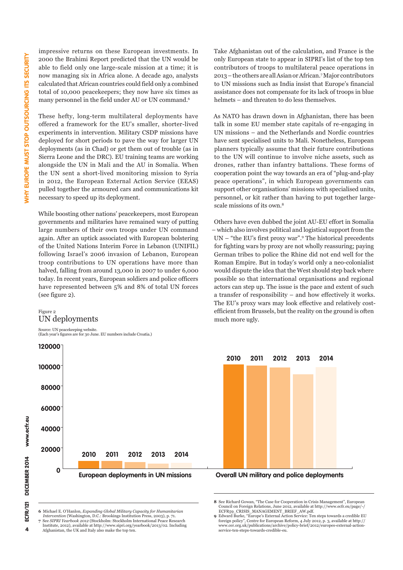impressive returns on these European investments. In 2000 the Brahimi Report predicted that the UN would be able to field only one large-scale mission at a time; it is now managing six in Africa alone. A decade ago, analysts calculated that African countries could field only a combined total of 10,000 peacekeepers; they now have six times as many personnel in the field under AU or UN command.6

These hefty, long-term multilateral deployments have offered a framework for the EU's smaller, shorter-lived experiments in intervention. Military CSDP missions have deployed for short periods to pave the way for larger UN deployments (as in Chad) or get them out of trouble (as in Sierra Leone and the DRC). EU training teams are working alongside the UN in Mali and the AU in Somalia. When the UN sent a short-lived monitoring mission to Syria in 2012, the European External Action Service (EEAS) pulled together the armoured cars and communications kit necessary to speed up its deployment.

While boosting other nations' peacekeepers, most European governments and militaries have remained wary of putting large numbers of their own troops under UN command again. After an uptick associated with European bolstering of the United Nations Interim Force in Lebanon (UNIFIL) following Israel's 2006 invasion of Lebanon, European troop contributions to UN operations have more than halved, falling from around 13,000 in 2007 to under 6,000 today. In recent years, European soldiers and police officers have represented between 5% and 8% of total UN forces (see figure 2).

#### Figure 2 UN deployments

Source: UN peacekeeping website. (Each year's figures are for 30 June. EU numbers include Croatia.)

**0 20000 40000 60000 80000 100000 120000 2010 2011 2012 2013 2014** Take Afghanistan out of the calculation, and France is the only European state to appear in SIPRI's list of the top ten contributors of troops to multilateral peace operations in 2013 – the others are all Asian or African.7 Major contributors to UN missions such as India insist that Europe's financial assistance does not compensate for its lack of troops in blue helmets – and threaten to do less themselves.

As NATO has drawn down in Afghanistan, there has been talk in some EU member state capitals of re-engaging in UN missions – and the Netherlands and Nordic countries have sent specialised units to Mali. Nonetheless, European planners typically assume that their future contributions to the UN will continue to involve niche assets, such as drones, rather than infantry battalions. These forms of cooperation point the way towards an era of "plug-and-play peace operations", in which European governments can support other organisations' missions with specialised units, personnel, or kit rather than having to put together largescale missions of its own.8

Others have even dubbed the joint AU-EU effort in Somalia – which also involves political and logistical support from the UN – "the EU's first proxy war".9 The historical precedents for fighting wars by proxy are not wholly reassuring; paying German tribes to police the Rhine did not end well for the Roman Empire. But in today's world only a neo-colonialist would dispute the idea that the West should step back where possible so that international organisations and regional actors can step up. The issue is the pace and extent of such a transfer of responsibility – and how effectively it works. The EU's proxy wars may look effective and relatively costefficient from Brussels, but the reality on the ground is often much more ugly.



**European deployments in UN missions Overall UN military and police deployments**

**8** See Richard Gowan, "The Case for Cooperation in Crisis Management", European Council on Foreign Relations, June 2012, available at http://www.ecfr.eu/page/-/ ECFR59\_CRISIS\_MANAGEMENT\_BRIEF\_AW.pdf.

**6** Michael E. O'Hanlon, *Expanding Global Military Capacity for Humanitarian Intervention* (Washington, D.C.: Brookings Institution Press, 2003), p. 71. **7** See *SIPRI Yearbook 2012* (Stockholm: Stockholm International Peace Research Institute, 2012), available at http://www.sipri.org/yearbook/2013/02. Including Afghanistan, the UK and Italy also make the top ten.

**9** Edward Burke, "Europe's External Action Service: Ten steps towards a credible EU foreign policy", Centre for European Reform, 4 July 2012, p. 3, available at http:// www.cer.org.uk/publications/archive/policy-brief/2012/europes-external-actionservice-ten-steps-towards-credible-eu.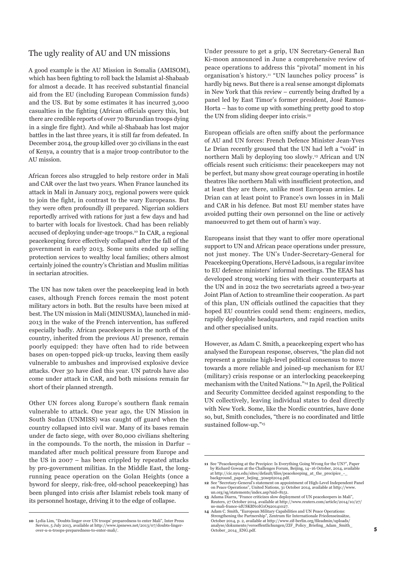## The ugly reality of AU and UN missions

A good example is the AU Mission in Somalia (AMISOM), which has been fighting to roll back the Islamist al-Shabaab for almost a decade. It has received substantial financial aid from the EU (including European Commission funds) and the US. But by some estimates it has incurred 3,000 casualties in the fighting (African officials query this, but there are credible reports of over 70 Burundian troops dying in a single fire fight). And while al-Shabaab has lost major battles in the last three years, it is still far from defeated. In December 2014, the group killed over 30 civilians in the east of Kenya, a country that is a major troop contributor to the AU mission.

African forces also struggled to help restore order in Mali and CAR over the last two years. When France launched its attack in Mali in January 2013, regional powers were quick to join the fight, in contrast to the wary Europeans. But they were often profoundly ill prepared. Nigerian soldiers reportedly arrived with rations for just a few days and had to barter with locals for livestock. Chad has been reliably accused of deploying under-age troops.<sup>10</sup> In CAR, a regional peacekeeping force effectively collapsed after the fall of the government in early 2013. Some units ended up selling protection services to wealthy local families; others almost certainly joined the country's Christian and Muslim militias in sectarian atrocities.

The UN has now taken over the peacekeeping lead in both cases, although French forces remain the most potent military actors in both. But the results have been mixed at best. The UN mission in Mali (MINUSMA), launched in mid-2013 in the wake of the French intervention, has suffered especially badly. African peacekeepers in the north of the country, inherited from the previous AU presence, remain poorly equipped: they have often had to ride between bases on open-topped pick-up trucks, leaving them easily vulnerable to ambushes and improvised explosive device attacks. Over 30 have died this year. UN patrols have also come under attack in CAR, and both missions remain far short of their planned strength.

Other UN forces along Europe's southern flank remain vulnerable to attack. One year ago, the UN Mission in South Sudan (UNMISS) was caught off guard when the country collapsed into civil war. Many of its bases remain under de facto siege, with over 80,000 civilians sheltering in the compounds. To the north, the mission in Darfur – mandated after much political pressure from Europe and the US in 2007 – has been crippled by repeated attacks by pro-government militias. In the Middle East, the longrunning peace operation on the Golan Heights (once a byword for sleepy, risk-free, old-school peacekeeping) has been plunged into crisis after Islamist rebels took many of its personnel hostage, driving it to the edge of collapse.

Under pressure to get a grip, UN Secretary-General Ban Ki-moon announced in June a comprehensive review of peace operations to address this "pivotal" moment in his organisation's history.<sup>11</sup> "UN launches policy process" is hardly big news. But there is a real sense amongst diplomats in New York that this review – currently being drafted by a panel led by East Timor's former president, José Ramos-Horta – has to come up with something pretty good to stop the UN from sliding deeper into crisis.12

European officials are often sniffy about the performance of AU and UN forces: French Defence Minister Jean-Yves Le Drian recently groused that the UN had left a "void" in northern Mali by deploying too slowly.13 African and UN officials resent such criticisms: their peacekeepers may not be perfect, but many show great courage operating in hostile theatres like northern Mali with insufficient protection, and at least they are there, unlike most European armies. Le Drian can at least point to France's own losses in in Mali and CAR in his defence. But most EU member states have avoided putting their own personnel on the line or actively manoeuvred to get them out of harm's way.

Europeans insist that they want to offer more operational support to UN and African peace operations under pressure, not just money. The UN's Under-Secretary-General for Peacekeeping Operations, Hervé Ladsous, is a regular invitee to EU defence ministers' informal meetings. The EEAS has developed strong working ties with their counterparts at the UN and in 2012 the two secretariats agreed a two-year Joint Plan of Action to streamline their cooperation. As part of this plan, UN officials outlined the capacities that they hoped EU countries could send them: engineers, medics, rapidly deployable headquarters, and rapid reaction units and other specialised units.

However, as Adam C. Smith, a peacekeeping expert who has analysed the European response, observes, "the plan did not represent a genuine high-level political consensus to move towards a more reliable and joined-up mechanism for EU (military) crisis response or an interlocking peacekeeping mechanism with the United Nations."14 In April, the Political and Security Committee decided against responding to the UN collectively, leaving individual states to deal directly with New York. Some, like the Nordic countries, have done so, but, Smith concludes, "there is no coordinated and little sustained follow-up."<sup>15</sup>

**<sup>10</sup>** Lydia Lim, "Doubts linger over UN troops' preparedness to enter Mali", Inter Press Service, 5 July 2013, available at http://www.ipsnews.net/2013/07/doubts-lingerover-u-n-troops-preparedness-to-enter-mali/.

**<sup>11</sup>** See "Peacekeeping at the Precipice: Is Everything Going Wrong for the UN?", Paper by Richard Gowan at the Challenges Forum, Beijing, 14–16 October, 2014, available at http://cic.nyu.edu/sites/default/files/peacekeeping\_at\_the\_precipice\_-\_ background\_paper\_bejing\_30sept2014.pdf. **12** See "Secretary-General's statement on appointment of High-Level Independent Panel

on Peace Operations", United Nations, 31 October 2014, available at http://www. un.org/sg/statements/index.asp?nid=8151.

**<sup>13</sup>** Adama Diarra, "France criticizes slow deployment of UN peacekeepers in Mali", Reuters, 27 October 2014, available at http://www.reuters.com/article/2014/10/27/ us-mali-france-idUSKBN0IG1O920141027. **14** Adam C. Smith, "European Military Capabilities and UN Peace Operations:

Strengthening the Partnership", Zentrum für Internationale Friedenseinsätze, 26 European Company of the Company of the Company of the Company of the Company of the Company of the Company of the Company of the Company of the Company of the Company of the Company of the Company of the Company of the  $\text{analyse}/\text{dokumente}/\text{veroefficientlichungen/ZIF_Policy_Briefing\_Adam\_Smith\_$ October\_2014\_ENG.pdf.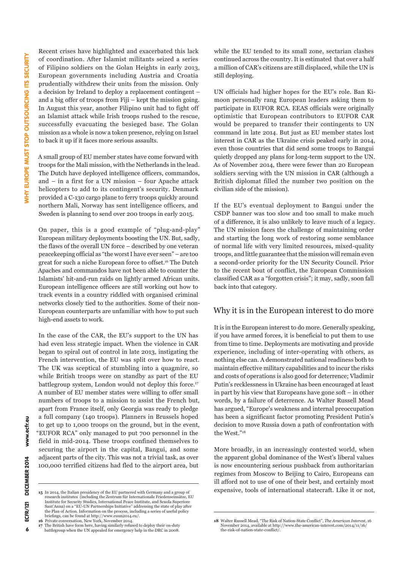Recent crises have highlighted and exacerbated this lack of coordination. After Islamist militants seized a series of Filipino soldiers on the Golan Heights in early 2013, European governments including Austria and Croatia prudentially withdrew their units from the mission. Only a decision by Ireland to deploy a replacement contingent – and a big offer of troops from Fiji – kept the mission going. In August this year, another Filipino unit had to fight off an Islamist attack while Irish troops rushed to the rescue, successfully evacuating the besieged base. The Golan mission as a whole is now a token presence, relying on Israel to back it up if it faces more serious assaults.

A small group of EU member states have come forward with troops for the Mali mission, with the Netherlands in the lead. The Dutch have deployed intelligence officers, commandos, and – in a first for a UN mission – four Apache attack helicopters to add to its contingent's security. Denmark provided a C-130 cargo plane to ferry troops quickly around northern Mali, Norway has sent intelligence officers, and Sweden is planning to send over 200 troops in early 2015.

On paper, this is a good example of "plug-and-play" European military deployments boosting the UN. But, sadly, the flaws of the overall UN force – described by one veteran peacekeeping official as "the worst I have ever seen" – are too great for such a niche European force to offset.16 The Dutch Apaches and commandos have not been able to counter the Islamists' hit-and-run raids on lightly armed African units. European intelligence officers are still working out how to track events in a country riddled with organised criminal networks closely tied to the authorities. Some of their non-European counterparts are unfamiliar with how to put such high-end assets to work.

In the case of the CAR, the EU's support to the UN has had even less strategic impact. When the violence in CAR began to spiral out of control in late 2013, instigating the French intervention, the EU was split over how to react. The UK was sceptical of stumbling into a quagmire, so while British troops were on standby as part of the EU battlegroup system, London would not deploy this force.<sup>17</sup> A number of EU member states were willing to offer small numbers of troops to a mission to assist the French but, apart from France itself, only Georgia was ready to pledge a full company (140 troops). Planners in Brussels hoped to get up to 1,000 troops on the ground, but in the event, "EUFOR RCA" only managed to put 700 personnel in the field in mid-2014. These troops confined themselves to securing the airport in the capital, Bangui, and some adjacent parts of the city. This was not a trivial task, as over 100,000 terrified citizens had fled to the airport area, but

while the EU tended to its small zone, sectarian clashes continued across the country. It is estimated that over a half a million of CAR's citizens are still displaced, while the UN is still deploying.

UN officials had higher hopes for the EU's role. Ban Kimoon personally rang European leaders asking them to participate in EUFOR RCA. EEAS officials were originally optimistic that European contributors to EUFOR CAR would be prepared to transfer their contingents to UN command in late 2014. But just as EU member states lost interest in CAR as the Ukraine crisis peaked early in 2014, even those countries that did send some troops to Bangui quietly dropped any plans for long-term support to the UN. As of November 2014, there were fewer than 20 European soldiers serving with the UN mission in CAR (although a British diplomat filled the number two position on the civilian side of the mission).

If the EU's eventual deployment to Bangui under the CSDP banner was too slow and too small to make much of a difference, it is also unlikely to leave much of a legacy. The UN mission faces the challenge of maintaining order and starting the long work of restoring some semblance of normal life with very limited resources, mixed-quality troops, and little guarantee that the mission will remain even a second-order priority for the UN Security Council. Prior to the recent bout of conflict, the European Commission classified CAR as a "forgotten crisis"; it may, sadly, soon fall back into that category.

#### Why it is in the European interest to do more

It is in the European interest to do more. Generally speaking, if you have armed forces, it is beneficial to put them to use from time to time. Deployments are motivating and provide experience, including of inter-operating with others, as nothing else can. A demonstrated national readiness both to maintain effective military capabilities and to incur the risks and costs of operations is also good for deterrence; Vladimir Putin's recklessness in Ukraine has been encouraged at least in part by his view that Europeans have gone soft – in other words, by a failure of deterrence. As Walter Russell Mead has argued, "Europe's weakness and internal preoccupation has been a significant factor promoting President Putin's decision to move Russia down a path of confrontation with the West."18

More broadly, in an increasingly contested world, when the apparent global dominance of the West's liberal values is now encountering serious pushback from authoritarian regimes from Moscow to Beijing to Cairo, Europeans can ill afford not to use of one of their best, and certainly most expensive, tools of international statecraft. Like it or not, **15** In 2014, the Italian presidency of the EU partnered with Germany and a group of

research institutes (including the Zentrum für Internationale Friedenseinsätze, EU Institute for Security Studies, International Peace Institute, and Scuola Superiore Sant'Anna) on a "EU-UN Partnerships Initiative" addressing the state of play after the Plan of Action. Information on the process, including a series of useful policy briefings, can be found at http://www.euun2014.eu/

**<sup>16</sup>** Private conversation, New York, November 2014.

**<sup>17</sup>** The British have form here, having similarly refused to deploy their on-duty battlegroup when the UN appealed for emergency help in the DRC in 2008.

<sup>18</sup> Walter Russell Mead, "The Risk of Nation-State Conflict", The American Interest, 16 November 2014, available at http://www.the-american-interest.com/2014/11/16/<br>the-risk-of-nation-state-conflict/.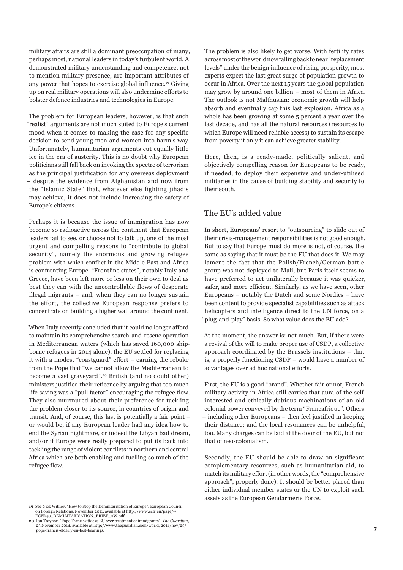military affairs are still a dominant preoccupation of many, perhaps most, national leaders in today's turbulent world. A demonstrated military understanding and competence, not to mention military presence, are important attributes of any power that hopes to exercise global influence.19 Giving up on real military operations will also undermine efforts to bolster defence industries and technologies in Europe.

The problem for European leaders, however, is that such "realist" arguments are not much suited to Europe's current mood when it comes to making the case for any specific decision to send young men and women into harm's way. Unfortunately, humanitarian arguments cut equally little ice in the era of austerity. This is no doubt why European politicians still fall back on invoking the spectre of terrorism as the principal justification for any overseas deployment – despite the evidence from Afghanistan and now from the "Islamic State" that, whatever else fighting jihadis may achieve, it does not include increasing the safety of Europe's citizens.

Perhaps it is because the issue of immigration has now become so radioactive across the continent that European leaders fail to see, or choose not to talk up, one of the most urgent and compelling reasons to "contribute to global security", namely the enormous and growing refugee problem with which conflict in the Middle East and Africa is confronting Europe. "Frontline states", notably Italy and Greece, have been left more or less on their own to deal as best they can with the uncontrollable flows of desperate illegal migrants – and, when they can no longer sustain the effort, the collective European response prefers to concentrate on building a higher wall around the continent.

When Italy recently concluded that it could no longer afford to maintain its comprehensive search-and-rescue operation in Mediterranean waters (which has saved 160,000 shipborne refugees in 2014 alone), the EU settled for replacing it with a modest "coastguard" effort – earning the rebuke from the Pope that "we cannot allow the Mediterranean to become a vast graveyard".20 British (and no doubt other) ministers justified their reticence by arguing that too much life saving was a "pull factor" encouraging the refugee flow. They also murmured about their preference for tackling the problem closer to its source, in countries of origin and transit. And, of course, this last is potentially a fair point – or would be, if any European leader had any idea how to end the Syrian nightmare, or indeed the Libyan bad dream, and/or if Europe were really prepared to put its back into tackling the range of violent conflicts in northern and central Africa which are both enabling and fuelling so much of the refugee flow.

**19** See Nick Witney, "How to Stop the Demilitarisation of Europe", European Council on Foreign Relations, November 2011, available at http://www.ecfr.eu/page/-/<br>ECFR40\_DEMILITARISATION\_BRIEF\_AW.pdf.

The problem is also likely to get worse. With fertility rates across most of the world now falling back to near "replacement levels" under the benign influence of rising prosperity, most experts expect the last great surge of population growth to occur in Africa. Over the next 15 years the global population may grow by around one billion – most of them in Africa. The outlook is not Malthusian: economic growth will help absorb and eventually cap this last explosion. Africa as a whole has been growing at some 5 percent a year over the last decade, and has all the natural resources (resources to which Europe will need reliable access) to sustain its escape from poverty if only it can achieve greater stability.

Here, then, is a ready-made, politically salient, and objectively compelling reason for Europeans to be ready, if needed, to deploy their expensive and under-utilised militaries in the cause of building stability and security to their south.

## The EU's added value

In short, Europeans' resort to "outsourcing" to slide out of their crisis-management responsibilities is not good enough. But to say that Europe must do more is not, of course, the same as saying that it must be the EU that does it. We may lament the fact that the Polish/French/German battle group was not deployed to Mali, but Paris itself seems to have preferred to act unilaterally because it was quicker, safer, and more efficient. Similarly, as we have seen, other Europeans – notably the Dutch and some Nordics – have been content to provide specialist capabilities such as attack helicopters and intelligence direct to the UN force, on a "plug-and-play" basis. So what value does the EU add?

At the moment, the answer is: not much. But, if there were a revival of the will to make proper use of CSDP, a collective approach coordinated by the Brussels institutions – that is, a properly functioning CSDP – would have a number of advantages over ad hoc national efforts.

First, the EU is a good "brand". Whether fair or not, French military activity in Africa still carries that aura of the selfinterested and ethically dubious machinations of an old colonial power conveyed by the term "Francafrique". Others – including other Europeans – then feel justified in keeping their distance; and the local resonances can be unhelpful, too. Many charges can be laid at the door of the EU, but not that of neo-colonialism.

Secondly, the EU should be able to draw on significant complementary resources, such as humanitarian aid, to match its military effort (in other words, the "comprehensive approach", properly done). It should be better placed than either individual member states or the UN to exploit such assets as the European Gendarmerie Force.

**<sup>20</sup>** Ian Traynor, "Pope Francis attacks EU over treatment of immigrants", *The Guardian*, 25 November 2014, available at http://www.theguardian.com/world/2014/nov/25/ pope-francis-elderly-eu-lost-bearings.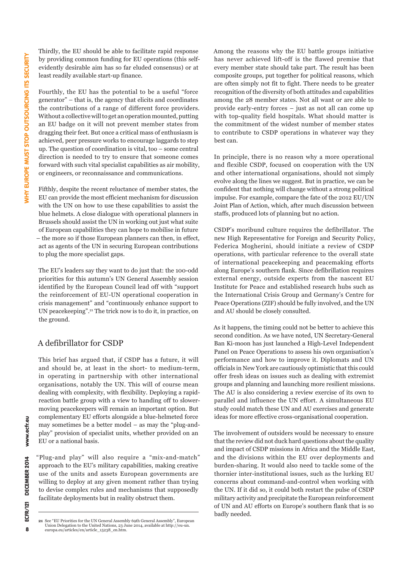Thirdly, the EU should be able to facilitate rapid response by providing common funding for EU operations (this selfevidently desirable aim has so far eluded consensus) or at least readily available start-up finance.

Fourthly, the EU has the potential to be a useful "force generator" – that is, the agency that elicits and coordinates the contributions of a range of different force providers. Without a collective will to get an operation mounted, putting an EU badge on it will not prevent member states from dragging their feet. But once a critical mass of enthusiasm is achieved, peer pressure works to encourage laggards to step up. The question of coordination is vital, too – some central direction is needed to try to ensure that someone comes forward with such vital specialist capabilities as air mobility, or engineers, or reconnaissance and communications.

Fifthly, despite the recent reluctance of member states, the EU can provide the most efficient mechanism for discussion with the UN on how to use these capabilities to assist the blue helmets. A close dialogue with operational planners in Brussels should assist the UN in working out just what suite of European capabilities they can hope to mobilise in future – the more so if those European planners can then, in effect, act as agents of the UN in securing European contributions to plug the more specialist gaps.

The EU's leaders say they want to do just that: the 100-odd priorities for this autumn's UN General Assembly session identified by the European Council lead off with "support the reinforcement of EU-UN operational cooperation in crisis management" and "continuously enhance support to UN peacekeeping".21 The trick now is to do it, in practice, on the ground.

## A defibrillator for CSDP

This brief has argued that, if CSDP has a future, it will and should be, at least in the short- to medium-term, in operating in partnership with other international organisations, notably the UN. This will of course mean dealing with complexity, with flexibility. Deploying a rapidreaction battle group with a view to handing off to slowermoving peacekeepers will remain an important option. But complementary EU efforts alongside a blue-helmeted force may sometimes be a better model – as may the "plug-andplay" provision of specialist units, whether provided on an EU or a national basis.

"Plug-and play" will also require a "mix-and-match" approach to the EU's military capabilities, making creative use of the units and assets European governments are willing to deploy at any given moment rather than trying to devise complex rules and mechanisms that supposedly facilitate deployments but in reality obstruct them.

Among the reasons why the EU battle groups initiative has never achieved lift-off is the flawed premise that every member state should take part. The result has been composite groups, put together for political reasons, which are often simply not fit to fight. There needs to be greater recognition of the diversity of both attitudes and capabilities among the 28 member states. Not all want or are able to provide early-entry forces – just as not all can come up with top-quality field hospitals. What should matter is the commitment of the widest number of member states to contribute to CSDP operations in whatever way they best can.

In principle, there is no reason why a more operational and flexible CSDP, focused on cooperation with the UN and other international organisations, should not simply evolve along the lines we suggest. But in practice, we can be confident that nothing will change without a strong political impulse. For example, compare the fate of the 2012 EU/UN Joint Plan of Action, which, after much discussion between staffs, produced lots of planning but no action.

CSDP's moribund culture requires the defibrillator. The new High Representative for Foreign and Security Policy, Federica Mogherini, should initiate a review of CSDP operations, with particular reference to the overall state of international peacekeeping and peacemaking efforts along Europe's southern flank. Since defibrillation requires external energy, outside experts from the nascent EU Institute for Peace and established research hubs such as the International Crisis Group and Germany's Centre for Peace Operations (ZIF) should be fully involved, and the UN and AU should be closely consulted.

As it happens, the timing could not be better to achieve this second condition. As we have noted, UN Secretary-General Ban Ki-moon has just launched a High-Level Independent Panel on Peace Operations to assess his own organisation's performance and how to improve it. Diplomats and UN officials in New York are cautiously optimistic that this could offer fresh ideas on issues such as dealing with extremist groups and planning and launching more resilient missions. The AU is also considering a review exercise of its own to parallel and influence the UN effort. A simultaneous EU study could match these UN and AU exercises and generate ideas for more effective cross-organisational cooperation.

The involvement of outsiders would be necessary to ensure that the review did not duck hard questions about the quality and impact of CSDP missions in Africa and the Middle East, and the divisions within the EU over deployments and burden-sharing. It would also need to tackle some of the thornier inter-institutional issues, such as the lurking EU concerns about command-and-control when working with the UN. If it did so, it could both restart the pulse of CSDP military activity and precipitate the European reinforcement of UN and AU efforts on Europe's southern flank that is so badly needed.

www.ecfr.eu

**<sup>21</sup>** See "EU Priorities for the UN General Assembly 69th General Assembly", European Union Delegation to the United Nations, 23 June 2014, available at http://eu-un. europa.eu/articles/en/article\_15238\_en.htm.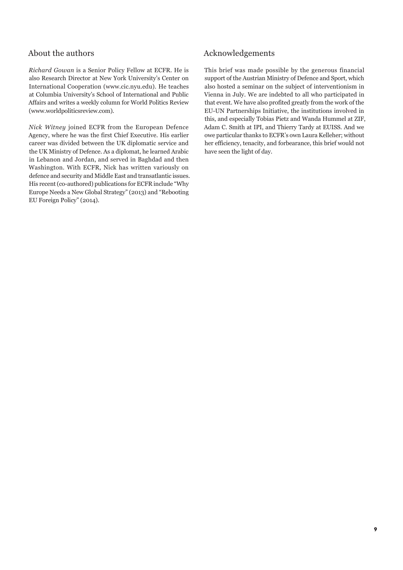## About the authors

*Richard Gowan* is a Senior Policy Fellow at ECFR. He is also Research Director at New York University's Center on International Cooperation (www.cic.nyu.edu). He teaches at Columbia University's School of International and Public Affairs and writes a weekly column for World Politics Review (www.worldpoliticsreview.com).

*Nick Witney* joined ECFR from the European Defence Agency, where he was the first Chief Executive. His earlier career was divided between the UK diplomatic service and the UK Ministry of Defence. As a diplomat, he learned Arabic in Lebanon and Jordan, and served in Baghdad and then Washington. With ECFR, Nick has written variously on defence and security and Middle East and transatlantic issues. His recent (co-authored) publications for ECFR include "Why Europe Needs a New Global Strategy" (2013) and "Rebooting EU Foreign Policy" (2014).

## Acknowledgements

This brief was made possible by the generous financial support of the Austrian Ministry of Defence and Sport, which also hosted a seminar on the subject of interventionism in Vienna in July. We are indebted to all who participated in that event. We have also profited greatly from the work of the EU-UN Partnerships Initiative, the institutions involved in this, and especially Tobias Pietz and Wanda Hummel at ZIF, Adam C. Smith at IPI, and Thierry Tardy at EUISS. And we owe particular thanks to ECFR's own Laura Kelleher; without her efficiency, tenacity, and forbearance, this brief would not have seen the light of day.